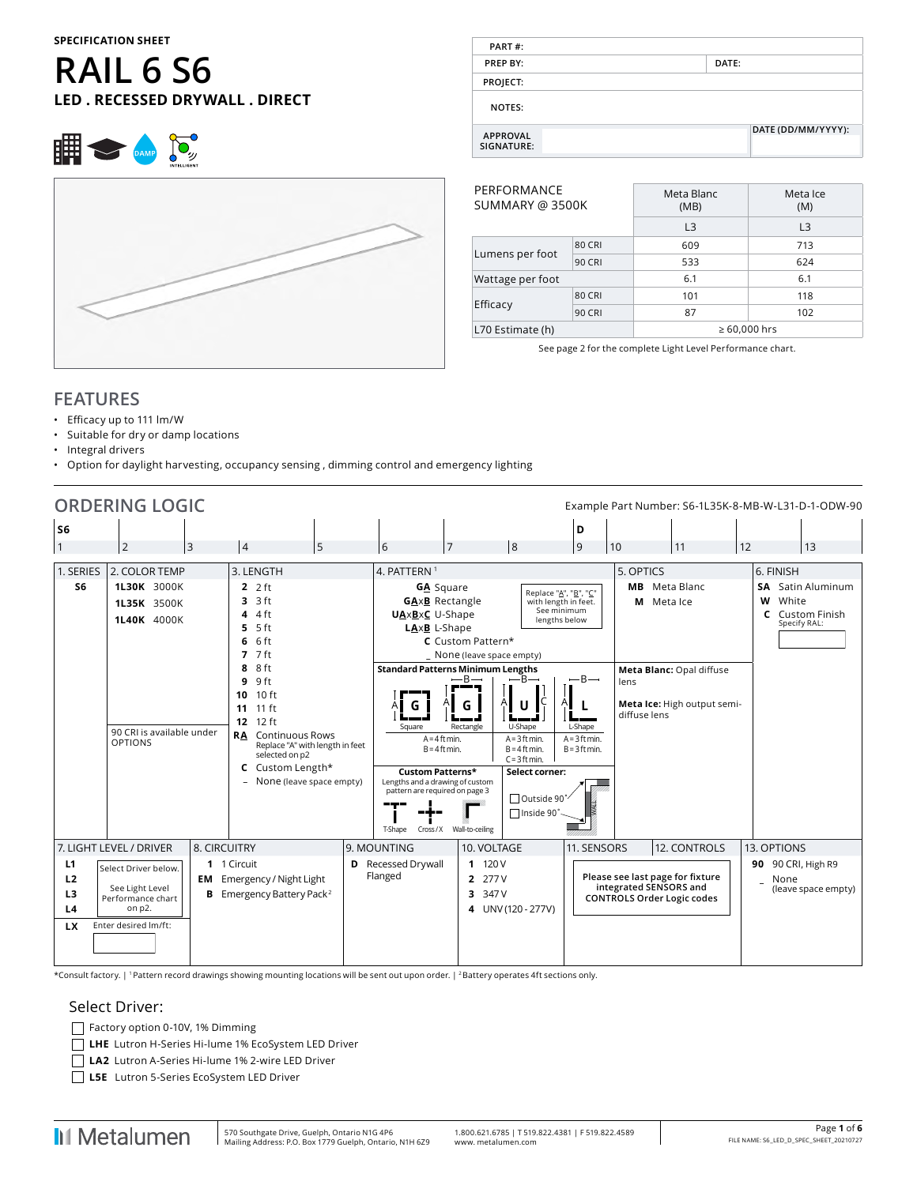#### **SPECIFICATION SHEET**

# **RAIL 6 S6 LED . RECESSED DRYWALL . DIRECT**



| PART#:                        |       |                    |
|-------------------------------|-------|--------------------|
| <b>PREP BY:</b>               | DATE: |                    |
| PROJECT:                      |       |                    |
| NOTES:                        |       |                    |
| <b>APPROVAL</b><br>SIGNATURE: |       | DATE (DD/MM/YYYY): |
|                               |       |                    |

| PERFORMANCE<br>SUMMARY @ 3500K |               | Meta Blanc<br>(MB) | Meta Ice<br>(M) |  |  |  |  |  |
|--------------------------------|---------------|--------------------|-----------------|--|--|--|--|--|
|                                |               | L <sub>3</sub>     | L <sub>3</sub>  |  |  |  |  |  |
|                                | <b>80 CRI</b> | 609                | 713             |  |  |  |  |  |
| Lumens per foot                | <b>90 CRI</b> | 533                | 624             |  |  |  |  |  |
| Wattage per foot               |               | 6.1                | 6.1             |  |  |  |  |  |
|                                | <b>80 CRI</b> | 101                | 118             |  |  |  |  |  |
| Efficacy                       | <b>90 CRI</b> | 87                 | 102             |  |  |  |  |  |
| L70 Estimate (h)               |               | $\geq 60,000$ hrs  |                 |  |  |  |  |  |

See page 2 for the complete Light Level Performance chart.

#### **FEATURES**

- Efficacy up to 111 lm/W
- Suitable for dry or damp locations
- Integral drivers
- Option for daylight harvesting, occupancy sensing , dimming control and emergency lighting

| <b>ORDERING LOGIC</b><br>Example Part Number: S6-1L35K-8-MB-W-L31-D-1-ODW-90 |                                                                                                |              |                                                                                                                      |                                 |                                                                                                                                 |                                                 |                                                                                                                                 |                      |                                                                                                 |              |                            |                                                           |
|------------------------------------------------------------------------------|------------------------------------------------------------------------------------------------|--------------|----------------------------------------------------------------------------------------------------------------------|---------------------------------|---------------------------------------------------------------------------------------------------------------------------------|-------------------------------------------------|---------------------------------------------------------------------------------------------------------------------------------|----------------------|-------------------------------------------------------------------------------------------------|--------------|----------------------------|-----------------------------------------------------------|
| S <sub>6</sub>                                                               |                                                                                                |              |                                                                                                                      |                                 |                                                                                                                                 |                                                 |                                                                                                                                 | D                    |                                                                                                 |              |                            |                                                           |
| 1                                                                            | $\overline{2}$                                                                                 | 3            | 4                                                                                                                    | 5                               | 6                                                                                                                               | $\overline{7}$                                  | 8                                                                                                                               | و ا                  | 10                                                                                              | $\vert$ 11   | 12                         | 13                                                        |
| 1. SERIES                                                                    | 2. COLOR TEMP                                                                                  |              | 3. LENGTH                                                                                                            |                                 | 4. PATTERN <sup>1</sup>                                                                                                         |                                                 |                                                                                                                                 |                      | 5. OPTICS                                                                                       |              | 6. FINISH                  |                                                           |
| S6                                                                           | 1L30K 3000K<br>1L35K 3500K<br>1L40K 4000K                                                      |              | $2.2$ ft<br>3 ft<br>3<br>4 ft<br>4<br>$5$ ft<br>5<br>6 ft<br>6<br>$77$ ft                                            |                                 | <b>GA</b> Square<br><b>GAxB</b> Rectangle<br>UAxBxC U-Shape<br>LAxB L-Shape                                                     | C Custom Pattern*<br>_ None (leave space empty) | Replace "A", "B", "C"<br>with length in feet.<br>See minimum<br>lengths below                                                   |                      | <b>MB</b> Meta Blanc<br>M Meta Ice                                                              |              | W<br>White<br>C            | <b>SA</b> Satin Aluminum<br>Custom Finish<br>Specify RAL: |
|                                                                              | 90 CRI is available under<br><b>OPTIONS</b>                                                    |              | 8 ft<br>8<br>9 ft<br>9<br>10 ft<br>10<br>11 ft<br>11<br>$12$ ft<br>12<br><b>RA</b> Continuous Rows<br>selected on p2 | Replace "A" with length in feet | <b>Standard Patterns Minimum Lengths</b><br>G<br>Square<br>$A = 4$ ft min.<br>$B = 4$ ft min.                                   | $-B-$<br>G<br>Rectangle                         | $-B-$<br>U<br>U-Shape<br>L-Shape<br>$A = 3$ ft min.<br>$A = 3$ ft min.<br>$B = 3$ ft min.<br>$B = 4$ ft min.<br>$C = 3$ ft min. | lens<br>diffuse lens | Meta Blanc: Opal diffuse<br>Meta Ice: High output semi-                                         |              |                            |                                                           |
|                                                                              |                                                                                                |              | Custom Length*<br>C<br>None (leave space empty)                                                                      |                                 | <b>Custom Patterns*</b><br>Lengths and a drawing of custom<br>pattern are required on page 3<br>T-Shape Cross/X Wall-to-ceiling |                                                 | Select corner:<br>Outside 90°<br>□ Inside 90°                                                                                   |                      |                                                                                                 |              |                            |                                                           |
|                                                                              | 7. LIGHT LEVEL / DRIVER                                                                        | 8. CIRCUITRY |                                                                                                                      |                                 | 9. MOUNTING                                                                                                                     | 10. VOLTAGE                                     |                                                                                                                                 | 11. SENSORS          |                                                                                                 | 12. CONTROLS | 13. OPTIONS                |                                                           |
| L1<br>L2<br>L <sub>3</sub><br>L4<br><b>LX</b>                                | Select Driver below.<br>See Light Level<br>Performance chart<br>on p2.<br>Enter desired Im/ft: |              | 1 1 Circuit<br><b>EM</b> Emergency / Night Light<br><b>B</b> Emergency Battery Pack <sup>2</sup>                     |                                 | <b>D</b> Recessed Drywall<br>Flanged                                                                                            | 11120V<br>2 277 V<br>3 347 V                    | 4 UNV (120 - 277V)                                                                                                              |                      | Please see last page for fixture<br>integrated SENSORS and<br><b>CONTROLS Order Logic codes</b> |              | 90 90 CRI, High R9<br>None | (leave space empty)                                       |

\*Consult factory. | 1 Pattern record drawings showing mounting locations will be sent out upon order. | <sup>2</sup>Battery operates 4ft sections only.

#### Select Driver:

Factory option 0-10V, 1% Dimming

**LHE** Lutron H-Series Hi-lume 1% EcoSystem LED Driver

 $\overline{1}$ 

**LA2** Lutron A-Series Hi-lume 1% 2-wire LED Driver

**L5E** Lutron 5-Series EcoSystem LED Driver

**II** Metalumen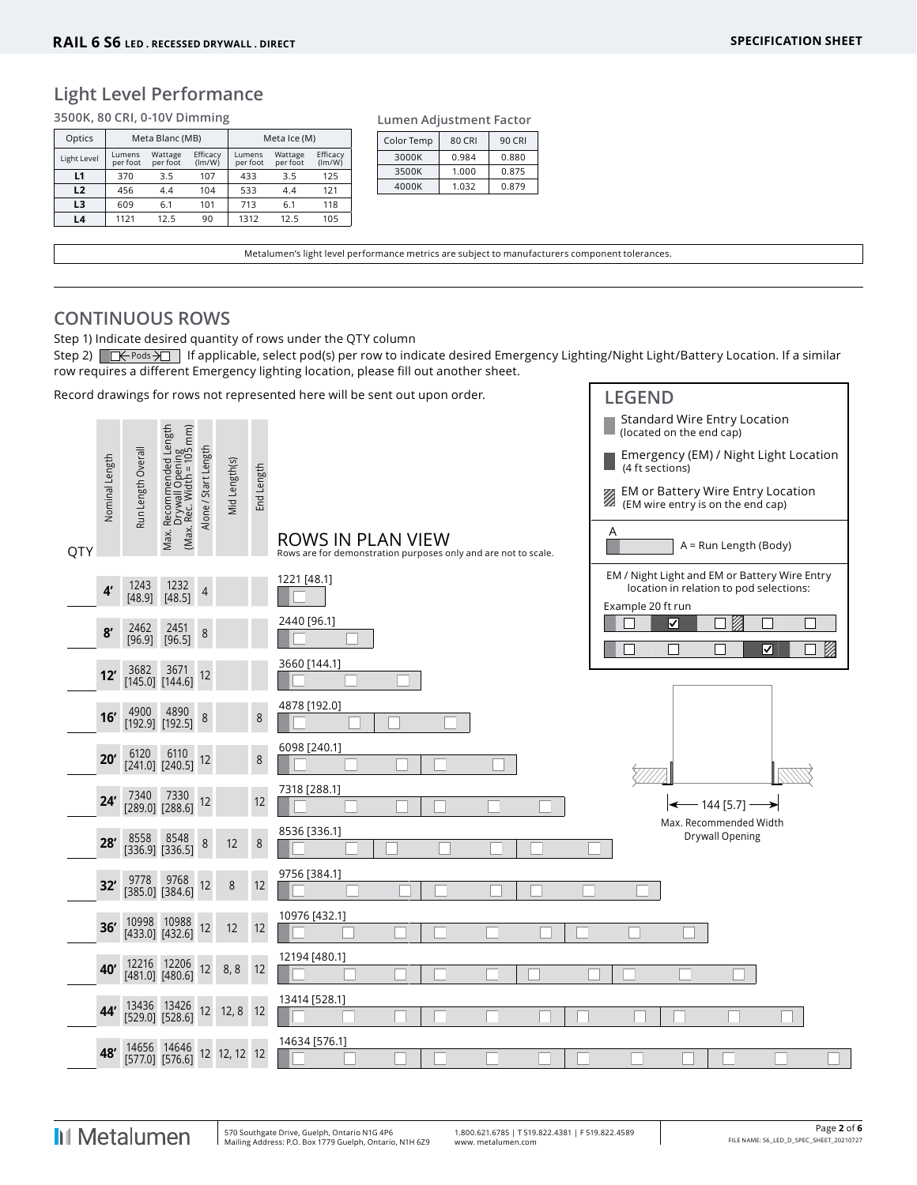## **Light Level Performance**

**3500K, 80 CRI, 0-10V Dimming**

| Optics         |                    | Meta Blanc (MB)     |                    | Meta Ice (M)       |                     |                    |  |  |  |  |
|----------------|--------------------|---------------------|--------------------|--------------------|---------------------|--------------------|--|--|--|--|
| Light Level    | Lumens<br>per foot | Wattage<br>per foot | Efficacy<br>(lm/W) | Lumens<br>per foot | Wattage<br>per foot | Efficacy<br>(lm/W) |  |  |  |  |
| L1             | 370                | 3.5                 | 107                | 433                | 3.5                 | 125                |  |  |  |  |
| L2             | 456                | 4.4                 | 104                | 533                | 4.4                 | 121                |  |  |  |  |
| L <sub>3</sub> | 609                | 6.1                 | 101                | 713                | 6.1                 | 118                |  |  |  |  |
| L <sub>4</sub> | 1121               | 12.5                | 90                 | 1312               | 12.5                | 105                |  |  |  |  |

| Lumen Adjustment Factor |               |               |  |  |  |  |  |  |  |  |  |  |
|-------------------------|---------------|---------------|--|--|--|--|--|--|--|--|--|--|
| Color Temp              | <b>80 CRI</b> | <b>90 CRI</b> |  |  |  |  |  |  |  |  |  |  |
| 3000K                   | 0.984         | 0.880         |  |  |  |  |  |  |  |  |  |  |
| 3500K                   | 1.000         | 0.875         |  |  |  |  |  |  |  |  |  |  |
| 4000K                   | 1.032         | 0.879         |  |  |  |  |  |  |  |  |  |  |

Metalumen's light level performance metrics are subject to manufacturers component tolerances.

# **CONTINUOUS ROWS**

Step 1) Indicate desired quantity of rows under the QTY column

Step 2)  $\Box \leftrightarrow \Box$  If applicable, select pod(s) per row to indicate desired Emergency Lighting/Night Light/Battery Location. If a similar row requires a different Emergency lighting location, please fill out another sheet.

Record drawings for rows not represented here will be sent out upon order.

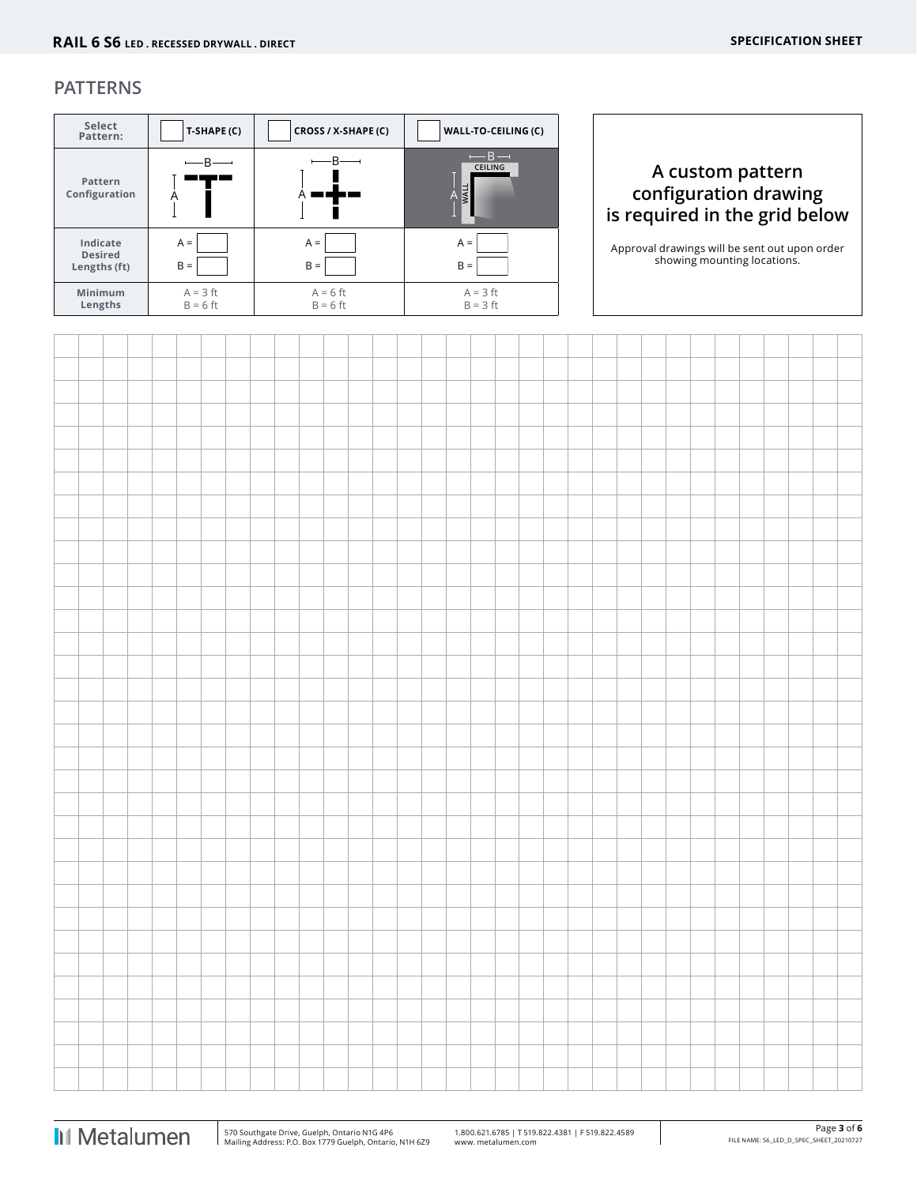# **PATTERNS**

|               | Select<br>Pattern:                                           |   | T-SHAPE (C)              |  |                |  | CROSS / X-SHAPE (C) |                          |  |                |  | WALL-TO-CEILING (C) |                          |  |  |  |                                                                              |                                                                            |  |  |  |  |
|---------------|--------------------------------------------------------------|---|--------------------------|--|----------------|--|---------------------|--------------------------|--|----------------|--|---------------------|--------------------------|--|--|--|------------------------------------------------------------------------------|----------------------------------------------------------------------------|--|--|--|--|
| Configuration | Pattern                                                      | A | $-$ B $-$                |  |                |  |                     |                          |  |                |  | NALL                | $-$ B $-$<br>CEILING     |  |  |  |                                                                              | A custom pattern<br>configuration drawing<br>is required in the grid below |  |  |  |  |
|               | $A =$<br>Indicate<br><b>Desired</b><br>$B =$<br>Lengths (ft) |   |                          |  | $A =$<br>$B =$ |  |                     |                          |  | $A =$<br>$B =$ |  |                     |                          |  |  |  | Approval drawings will be sent out upon order<br>showing mounting locations. |                                                                            |  |  |  |  |
|               | Minimum<br>Lengths                                           |   | $A = 3$ ft<br>$B = 6$ ft |  |                |  |                     | $A = 6$ ft<br>$B = 6$ ft |  |                |  |                     | $A = 3$ ft<br>$B = 3 ft$ |  |  |  |                                                                              |                                                                            |  |  |  |  |
|               |                                                              |   |                          |  |                |  |                     |                          |  |                |  |                     |                          |  |  |  |                                                                              |                                                                            |  |  |  |  |
|               |                                                              |   |                          |  |                |  |                     |                          |  |                |  |                     |                          |  |  |  |                                                                              |                                                                            |  |  |  |  |
|               |                                                              |   |                          |  |                |  |                     |                          |  |                |  |                     |                          |  |  |  |                                                                              |                                                                            |  |  |  |  |
|               |                                                              |   |                          |  |                |  |                     |                          |  |                |  |                     |                          |  |  |  |                                                                              |                                                                            |  |  |  |  |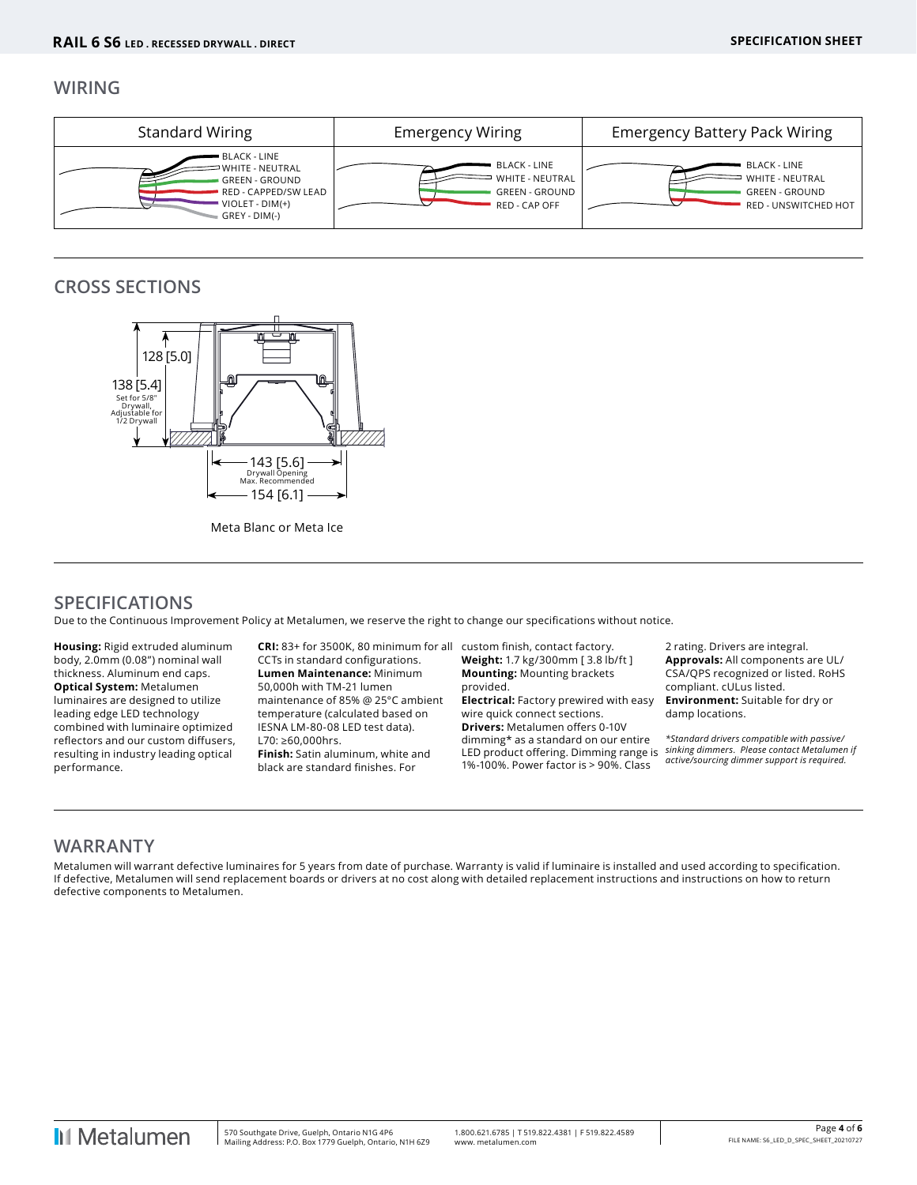#### **WIRING**



# **CROSS SECTIONS**



## **SPECIFICATIONS**

Due to the Continuous Improvement Policy at Metalumen, we reserve the right to change our specifications without notice.

**Housing:** Rigid extruded aluminum body, 2.0mm (0.08") nominal wall thickness. Aluminum end caps. **Optical System:** Metalumen luminaires are designed to utilize leading edge LED technology combined with luminaire optimized reflectors and our custom diffusers, resulting in industry leading optical performance.

**CRI:** 83+ for 3500K, 80 minimum for all custom finish, contact factory. CCTs in standard configurations. **Lumen Maintenance:** Minimum 50,000h with TM-21 lumen maintenance of 85% @ 25°C ambient temperature (calculated based on IESNA LM-80-08 LED test data). L70: ≥60,000hrs. **Finish:** Satin aluminum, white and black are standard finishes. For

**Weight:** 1.7 kg/300mm [ 3.8 lb/ft ] **Mounting:** Mounting brackets provided.

**Electrical:** Factory prewired with easy wire quick connect sections. **Drivers:** Metalumen offers 0-10V dimming\* as a standard on our entire LED product offering. Dimming range is *sinking dimmers. Please contact Metalumen if*  1%-100%. Power factor is > 90%. Class

2 rating. Drivers are integral. **Approvals:** All components are UL/ CSA/QPS recognized or listed. RoHS compliant. cULus listed. **Environment:** Suitable for dry or damp locations.

*\*Standard drivers compatible with passive/ active/sourcing dimmer support is required.*

## **WARRANTY**

Metalumen will warrant defective luminaires for 5 years from date of purchase. Warranty is valid if luminaire is installed and used according to specification. If defective, Metalumen will send replacement boards or drivers at no cost along with detailed replacement instructions and instructions on how to return defective components to Metalumen.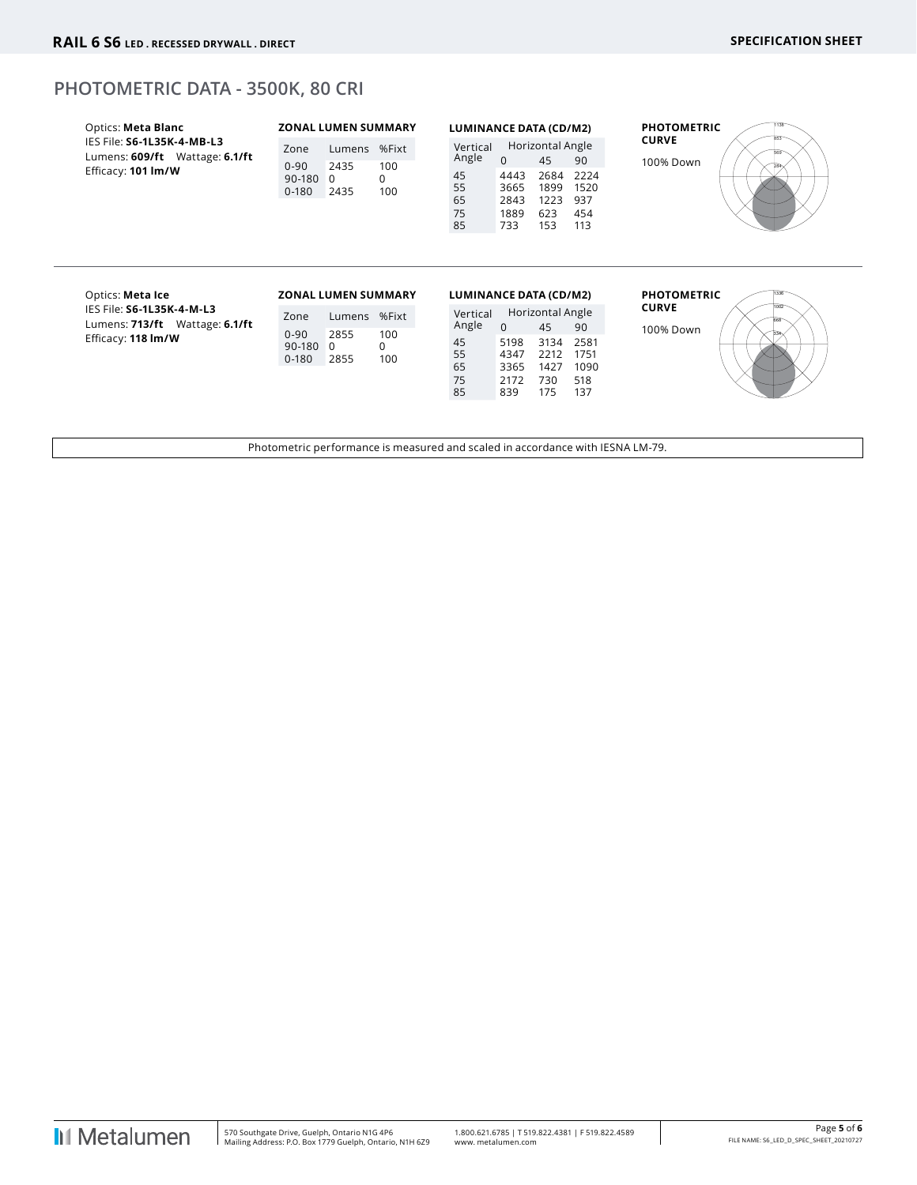## **PHOTOMETRIC DATA - 3500K, 80 CRI**

| Optics: Meta Blanc<br>IES File: S6-1L35K-4-MB-L3<br>Lumens: 609/ft Wattage: 6.1/ft<br>Efficacy: 101 Im/W | Zone<br>$0 - 90$<br>90-180<br>$0 - 180$ | <b>ZONAL LUMEN SUMMARY</b><br>Lumens<br>2435<br>0<br>2435 | %Fixt<br>100<br>0<br>100 | LUMINANCE DATA (CD/M2)<br>Vertical<br>Angle<br>45<br>55<br>65<br>75<br>85 | $\Omega$<br>4443<br>3665<br>2843<br>1889<br>733 | Horizontal Angle<br>45<br>2684<br>1899<br>1223<br>623<br>153 | 90<br>2224<br>1520<br>937<br>454<br>113  | <b>PHOTOMETRIC</b><br><b>CURVE</b><br>100% Down         |
|----------------------------------------------------------------------------------------------------------|-----------------------------------------|-----------------------------------------------------------|--------------------------|---------------------------------------------------------------------------|-------------------------------------------------|--------------------------------------------------------------|------------------------------------------|---------------------------------------------------------|
| Optics: Meta Ice<br>IES File: S6-1L35K-4-M-L3<br>Lumens: 713/ft Wattage: 6.1/ft<br>Efficacy: 118 Im/W    | Zone<br>$0 - 90$<br>90-180<br>$0 - 180$ | <b>ZONAL LUMEN SUMMARY</b><br>Lumens<br>2855<br>0<br>2855 | %Fixt<br>100<br>0<br>100 | LUMINANCE DATA (CD/M2)<br>Vertical<br>Angle<br>45<br>55<br>65<br>75<br>85 | $\Omega$<br>5198<br>4347<br>3365<br>2172<br>839 | Horizontal Angle<br>45<br>3134<br>2212<br>1427<br>730<br>175 | 90<br>2581<br>1751<br>1090<br>518<br>137 | <b>PHOTOMETRIC</b><br><b>CURVE</b><br>1002<br>100% Down |

Photometric performance is measured and scaled in accordance with IESNA LM-79.